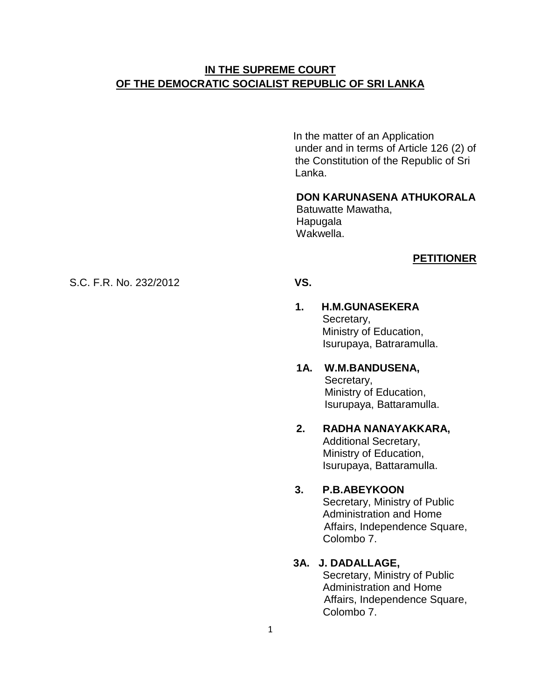# **IN THE SUPREME COURT OF THE DEMOCRATIC SOCIALIST REPUBLIC OF SRI LANKA**

In the matter of an Application under and in terms of Article 126 (2) of the Constitution of the Republic of Sri Lanka.

# **DON KARUNASENA ATHUKORALA**

 Batuwatte Mawatha, Hapugala Wakwella.

#### **PETITIONER**

## S.C. F.R. No. 232/2012**VS.**

#### **1. H.M.GUNASEKERA**  Secretary, Ministry of Education, Isurupaya, Batraramulla.

#### **1A. W.M.BANDUSENA,** Secretary, Ministry of Education, Isurupaya, Battaramulla.

#### **2. RADHA NANAYAKKARA,** Additional Secretary,

 Ministry of Education, Isurupaya, Battaramulla.

# **3. P.B.ABEYKOON**

Secretary, Ministry of Public Administration and Home Affairs, Independence Square, Colombo 7.

#### **3A. J. DADALLAGE,**

 Secretary, Ministry of Public Administration and Home Affairs, Independence Square, Colombo 7.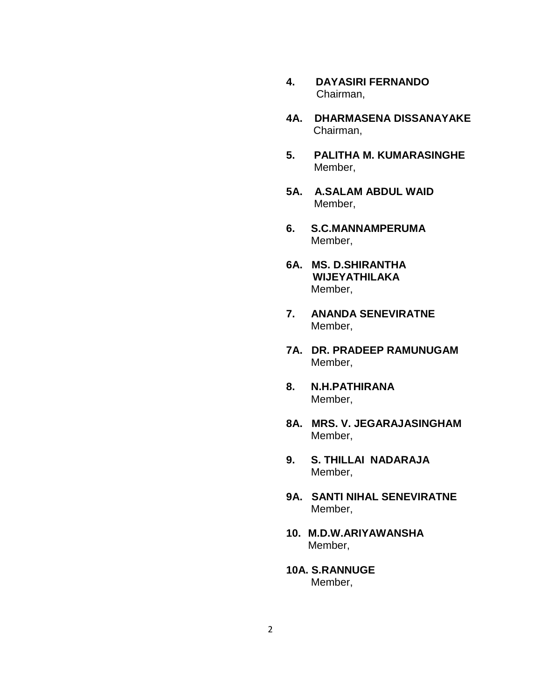- **4. DAYASIRI FERNANDO** Chairman,
- **4A. DHARMASENA DISSANAYAKE** Chairman,
- **5. PALITHA M. KUMARASINGHE** Member,
- **5A. A.SALAM ABDUL WAID** Member,
- **6. S.C.MANNAMPERUMA** Member,
- **6A. MS. D.SHIRANTHA WIJEYATHILAKA** Member,
- **7. ANANDA SENEVIRATNE** Member,
- **7A. DR. PRADEEP RAMUNUGAM** Member,
- **8. N.H.PATHIRANA** Member,
- **8A. MRS. V. JEGARAJASINGHAM** Member,
- **9. S. THILLAI NADARAJA** Member,
- **9A. SANTI NIHAL SENEVIRATNE** Member,
- **10. M.D.W.ARIYAWANSHA**  Member,
- **10A. S.RANNUGE** Member,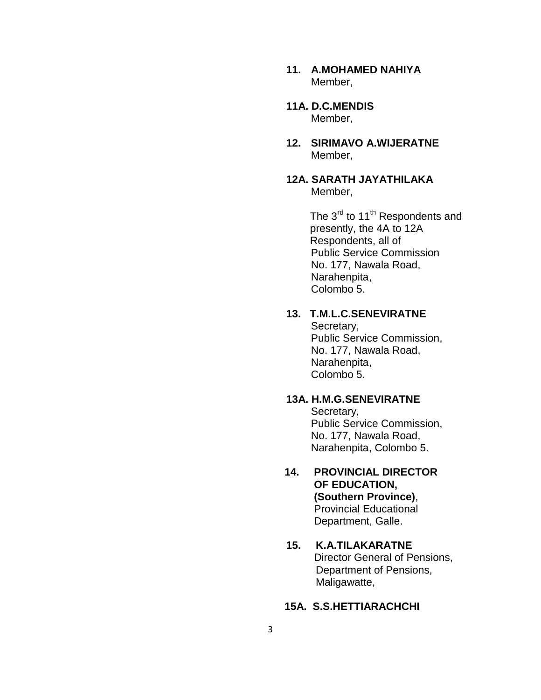- **11. A.MOHAMED NAHIYA** Member,
- **11A. D.C.MENDIS** Member,
- **12. SIRIMAVO A.WIJERATNE** Member,
- **12A. SARATH JAYATHILAKA** Member,

The 3<sup>rd</sup> to 11<sup>th</sup> Respondents and presently, the 4A to 12A Respondents, all of Public Service Commission No. 177, Nawala Road, Narahenpita, Colombo 5.

## **13. T.M.L.C.SENEVIRATNE**

 Secretary, Public Service Commission, No. 177, Nawala Road, Narahenpita, Colombo 5.

# **13A. H.M.G.SENEVIRATNE**

 Secretary, Public Service Commission, No. 177, Nawala Road, Narahenpita, Colombo 5.

 **14. PROVINCIAL DIRECTOR OF EDUCATION, (Southern Province)**, Provincial Educational Department, Galle.

### **15. K.A.TILAKARATNE** Director General of Pensions, Department of Pensions, Maligawatte,

#### **15A. S.S.HETTIARACHCHI**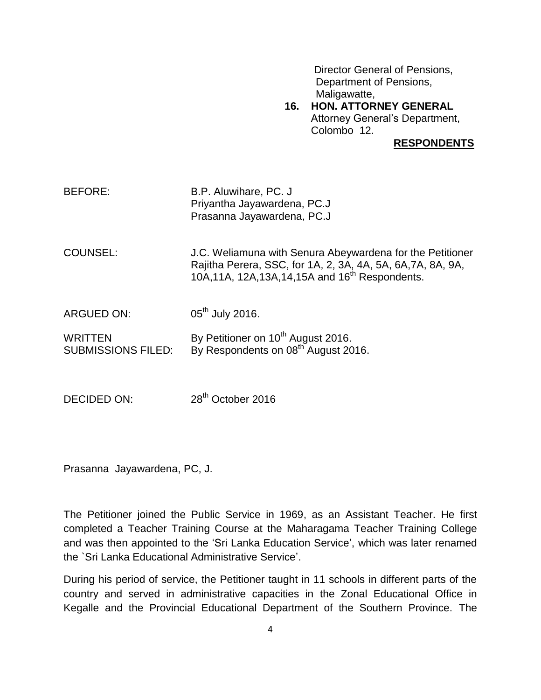Director General of Pensions, Department of Pensions, Maligawatte,

 **16. HON. ATTORNEY GENERAL**  Attorney General"s Department, Colombo 12.

**RESPONDENTS**

| BEFORE: | B.P. Aluwihare, PC. J.      |
|---------|-----------------------------|
|         | Priyantha Jayawardena, PC.J |
|         | Prasanna Jayawardena, PC.J  |

COUNSEL: J.C. Weliamuna with Senura Abeywardena for the Petitioner Rajitha Perera, SSC, for 1A, 2, 3A, 4A, 5A, 6A,7A, 8A, 9A, 10A,11A, 12A,13A,14,15A and 16<sup>th</sup> Respondents.

ARGUED ON: 05<sup>th</sup> July 2016.

WRITTEN  $By$  Petitioner on 10<sup>th</sup> August 2016. SUBMISSIONS FILED: By Respondents on 08<sup>th</sup> August 2016.

DECIDED ON: 28<sup>th</sup> October 2016

Prasanna Jayawardena, PC, J.

The Petitioner joined the Public Service in 1969, as an Assistant Teacher. He first completed a Teacher Training Course at the Maharagama Teacher Training College and was then appointed to the "Sri Lanka Education Service", which was later renamed the `Sri Lanka Educational Administrative Service".

During his period of service, the Petitioner taught in 11 schools in different parts of the country and served in administrative capacities in the Zonal Educational Office in Kegalle and the Provincial Educational Department of the Southern Province. The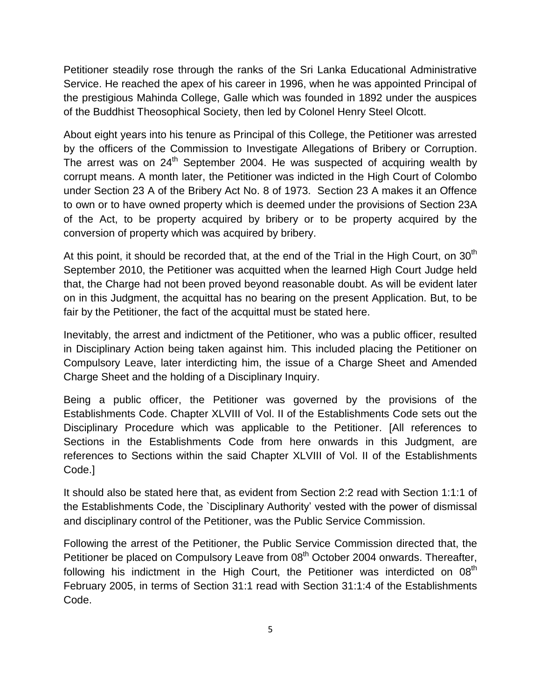Petitioner steadily rose through the ranks of the Sri Lanka Educational Administrative Service. He reached the apex of his career in 1996, when he was appointed Principal of the prestigious Mahinda College, Galle which was founded in 1892 under the auspices of the Buddhist Theosophical Society, then led by Colonel Henry Steel Olcott.

About eight years into his tenure as Principal of this College, the Petitioner was arrested by the officers of the Commission to Investigate Allegations of Bribery or Corruption. The arrest was on  $24<sup>th</sup>$  September 2004. He was suspected of acquiring wealth by corrupt means. A month later, the Petitioner was indicted in the High Court of Colombo under Section 23 A of the Bribery Act No. 8 of 1973. Section 23 A makes it an Offence to own or to have owned property which is deemed under the provisions of Section 23A of the Act, to be property acquired by bribery or to be property acquired by the conversion of property which was acquired by bribery.

At this point, it should be recorded that, at the end of the Trial in the High Court, on  $30<sup>th</sup>$ September 2010, the Petitioner was acquitted when the learned High Court Judge held that, the Charge had not been proved beyond reasonable doubt. As will be evident later on in this Judgment, the acquittal has no bearing on the present Application. But, to be fair by the Petitioner, the fact of the acquittal must be stated here.

Inevitably, the arrest and indictment of the Petitioner, who was a public officer, resulted in Disciplinary Action being taken against him. This included placing the Petitioner on Compulsory Leave, later interdicting him, the issue of a Charge Sheet and Amended Charge Sheet and the holding of a Disciplinary Inquiry.

Being a public officer, the Petitioner was governed by the provisions of the Establishments Code. Chapter XLVIII of Vol. II of the Establishments Code sets out the Disciplinary Procedure which was applicable to the Petitioner. [All references to Sections in the Establishments Code from here onwards in this Judgment, are references to Sections within the said Chapter XLVIII of Vol. II of the Establishments Code.]

It should also be stated here that, as evident from Section 2:2 read with Section 1:1:1 of the Establishments Code, the `Disciplinary Authority" vested with the power of dismissal and disciplinary control of the Petitioner, was the Public Service Commission.

Following the arrest of the Petitioner, the Public Service Commission directed that, the Petitioner be placed on Compulsory Leave from 08<sup>th</sup> October 2004 onwards. Thereafter, following his indictment in the High Court, the Petitioner was interdicted on  $08<sup>th</sup>$ February 2005, in terms of Section 31:1 read with Section 31:1:4 of the Establishments Code.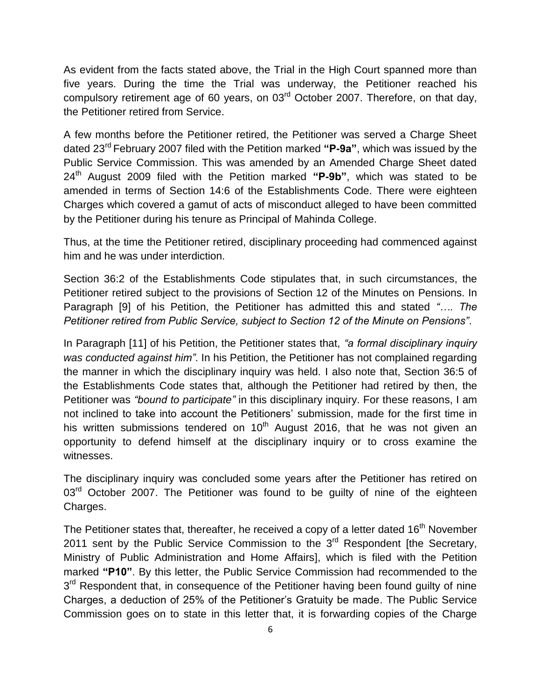As evident from the facts stated above, the Trial in the High Court spanned more than five years. During the time the Trial was underway, the Petitioner reached his compulsory retirement age of 60 years, on 03rd October 2007. Therefore, on that day, the Petitioner retired from Service.

A few months before the Petitioner retired, the Petitioner was served a Charge Sheet dated 23rd February 2007 filed with the Petition marked **"P-9a"**, which was issued by the Public Service Commission. This was amended by an Amended Charge Sheet dated 24th August 2009 filed with the Petition marked **"P-9b"**, which was stated to be amended in terms of Section 14:6 of the Establishments Code. There were eighteen Charges which covered a gamut of acts of misconduct alleged to have been committed by the Petitioner during his tenure as Principal of Mahinda College.

Thus, at the time the Petitioner retired, disciplinary proceeding had commenced against him and he was under interdiction.

Section 36:2 of the Establishments Code stipulates that, in such circumstances, the Petitioner retired subject to the provisions of Section 12 of the Minutes on Pensions. In Paragraph [9] of his Petition, the Petitioner has admitted this and stated *"…. The Petitioner retired from Public Service, subject to Section 12 of the Minute on Pensions"*.

In Paragraph [11] of his Petition, the Petitioner states that, *"a formal disciplinary inquiry was conducted against him"*. In his Petition, the Petitioner has not complained regarding the manner in which the disciplinary inquiry was held. I also note that, Section 36:5 of the Establishments Code states that, although the Petitioner had retired by then, the Petitioner was *"bound to participate"* in this disciplinary inquiry. For these reasons, I am not inclined to take into account the Petitioners" submission, made for the first time in his written submissions tendered on  $10^{th}$  August 2016, that he was not given an opportunity to defend himself at the disciplinary inquiry or to cross examine the witnesses.

The disciplinary inquiry was concluded some years after the Petitioner has retired on  $03<sup>rd</sup>$  October 2007. The Petitioner was found to be quilty of nine of the eighteen Charges.

The Petitioner states that, thereafter, he received a copy of a letter dated 16<sup>th</sup> November 2011 sent by the Public Service Commission to the 3<sup>rd</sup> Respondent [the Secretary, Ministry of Public Administration and Home Affairs], which is filed with the Petition marked **"P10"**. By this letter, the Public Service Commission had recommended to the 3<sup>rd</sup> Respondent that, in consequence of the Petitioner having been found guilty of nine Charges, a deduction of 25% of the Petitioner"s Gratuity be made. The Public Service Commission goes on to state in this letter that, it is forwarding copies of the Charge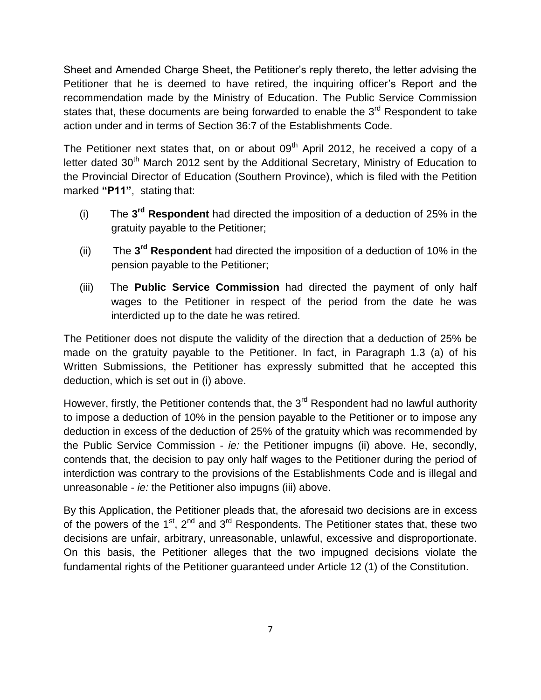Sheet and Amended Charge Sheet, the Petitioner"s reply thereto, the letter advising the Petitioner that he is deemed to have retired, the inquiring officer's Report and the recommendation made by the Ministry of Education. The Public Service Commission states that, these documents are being forwarded to enable the  $3<sup>rd</sup>$  Respondent to take action under and in terms of Section 36:7 of the Establishments Code.

The Petitioner next states that, on or about  $09<sup>th</sup>$  April 2012, he received a copy of a letter dated  $30<sup>th</sup>$  March 2012 sent by the Additional Secretary, Ministry of Education to the Provincial Director of Education (Southern Province), which is filed with the Petition marked **"P11"**, stating that:

- (i) The **3 rd Respondent** had directed the imposition of a deduction of 25% in the gratuity payable to the Petitioner;
- (ii) The **3 rd Respondent** had directed the imposition of a deduction of 10% in the pension payable to the Petitioner;
- (iii) The **Public Service Commission** had directed the payment of only half wages to the Petitioner in respect of the period from the date he was interdicted up to the date he was retired.

The Petitioner does not dispute the validity of the direction that a deduction of 25% be made on the gratuity payable to the Petitioner. In fact, in Paragraph 1.3 (a) of his Written Submissions, the Petitioner has expressly submitted that he accepted this deduction, which is set out in (i) above.

However, firstly, the Petitioner contends that, the  $3<sup>rd</sup>$  Respondent had no lawful authority to impose a deduction of 10% in the pension payable to the Petitioner or to impose any deduction in excess of the deduction of 25% of the gratuity which was recommended by the Public Service Commission - *ie:* the Petitioner impugns (ii) above. He, secondly, contends that, the decision to pay only half wages to the Petitioner during the period of interdiction was contrary to the provisions of the Establishments Code and is illegal and unreasonable - *ie:* the Petitioner also impugns (iii) above.

By this Application, the Petitioner pleads that, the aforesaid two decisions are in excess of the powers of the  $1<sup>st</sup>$ ,  $2<sup>nd</sup>$  and  $3<sup>rd</sup>$  Respondents. The Petitioner states that, these two decisions are unfair, arbitrary, unreasonable, unlawful, excessive and disproportionate. On this basis, the Petitioner alleges that the two impugned decisions violate the fundamental rights of the Petitioner guaranteed under Article 12 (1) of the Constitution.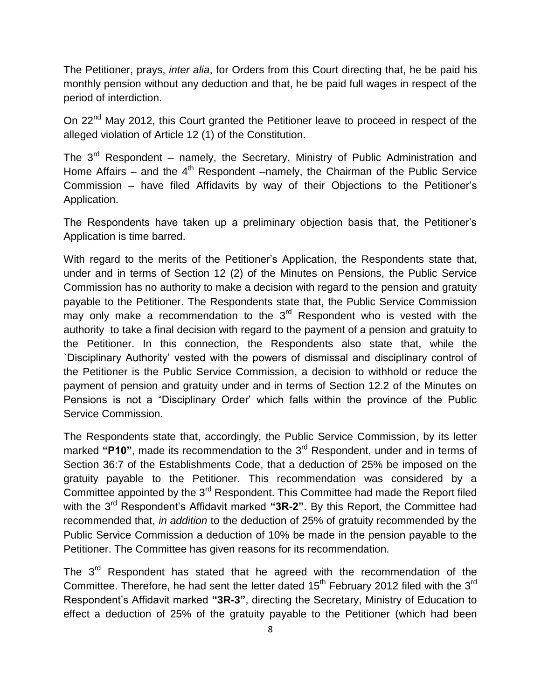The Petitioner, prays, *inter alia*, for Orders from this Court directing that, he be paid his monthly pension without any deduction and that, he be paid full wages in respect of the period of interdiction.

On 22<sup>nd</sup> May 2012, this Court granted the Petitioner leave to proceed in respect of the alleged violation of Article 12 (1) of the Constitution.

The  $3^{rd}$  Respondent – namely, the Secretary, Ministry of Public Administration and Home Affairs – and the  $4<sup>th</sup>$  Respondent –namely, the Chairman of the Public Service Commission – have filed Affidavits by way of their Objections to the Petitioner"s Application.

The Respondents have taken up a preliminary objection basis that, the Petitioner"s Application is time barred.

With regard to the merits of the Petitioner's Application, the Respondents state that, under and in terms of Section 12 (2) of the Minutes on Pensions, the Public Service Commission has no authority to make a decision with regard to the pension and gratuity payable to the Petitioner. The Respondents state that, the Public Service Commission may only make a recommendation to the 3<sup>rd</sup> Respondent who is vested with the authority to take a final decision with regard to the payment of a pension and gratuity to the Petitioner. In this connection, the Respondents also state that, while the `Disciplinary Authority" vested with the powers of dismissal and disciplinary control of the Petitioner is the Public Service Commission, a decision to withhold or reduce the payment of pension and gratuity under and in terms of Section 12.2 of the Minutes on Pensions is not a "Disciplinary Order" which falls within the province of the Public Service Commission.

The Respondents state that, accordingly, the Public Service Commission, by its letter marked "P10", made its recommendation to the 3<sup>rd</sup> Respondent, under and in terms of Section 36:7 of the Establishments Code, that a deduction of 25% be imposed on the gratuity payable to the Petitioner. This recommendation was considered by a Committee appointed by the  $3<sup>rd</sup>$  Respondent. This Committee had made the Report filed with the 3<sup>rd</sup> Respondent's Affidavit marked "3R-2". By this Report, the Committee had recommended that, *in addition* to the deduction of 25% of gratuity recommended by the Public Service Commission a deduction of 10% be made in the pension payable to the Petitioner. The Committee has given reasons for its recommendation.

The 3<sup>rd</sup> Respondent has stated that he agreed with the recommendation of the Committee. Therefore, he had sent the letter dated  $15<sup>th</sup>$  February 2012 filed with the  $3<sup>rd</sup>$ Respondent"s Affidavit marked **"3R-3"**, directing the Secretary, Ministry of Education to effect a deduction of 25% of the gratuity payable to the Petitioner (which had been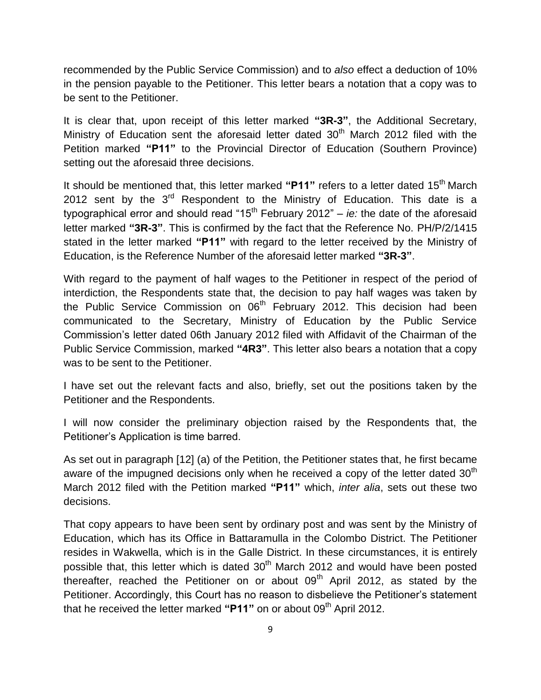recommended by the Public Service Commission) and to *also* effect a deduction of 10% in the pension payable to the Petitioner. This letter bears a notation that a copy was to be sent to the Petitioner.

It is clear that, upon receipt of this letter marked **"3R-3"**, the Additional Secretary, Ministry of Education sent the aforesaid letter dated  $30<sup>th</sup>$  March 2012 filed with the Petition marked **"P11"** to the Provincial Director of Education (Southern Province) setting out the aforesaid three decisions.

It should be mentioned that, this letter marked **"P11"** refers to a letter dated 15th March 2012 sent by the  $3<sup>rd</sup>$  Respondent to the Ministry of Education. This date is a typographical error and should read "15<sup>th</sup> February 2012" – *ie:* the date of the aforesaid letter marked **"3R-3"**. This is confirmed by the fact that the Reference No. PH/P/2/1415 stated in the letter marked **"P11"** with regard to the letter received by the Ministry of Education, is the Reference Number of the aforesaid letter marked **"3R-3"**.

With regard to the payment of half wages to the Petitioner in respect of the period of interdiction, the Respondents state that, the decision to pay half wages was taken by the Public Service Commission on  $06<sup>th</sup>$  February 2012. This decision had been communicated to the Secretary, Ministry of Education by the Public Service Commission"s letter dated 06th January 2012 filed with Affidavit of the Chairman of the Public Service Commission, marked **"4R3"**. This letter also bears a notation that a copy was to be sent to the Petitioner.

I have set out the relevant facts and also, briefly, set out the positions taken by the Petitioner and the Respondents.

I will now consider the preliminary objection raised by the Respondents that, the Petitioner"s Application is time barred.

As set out in paragraph [12] (a) of the Petition, the Petitioner states that, he first became aware of the impugned decisions only when he received a copy of the letter dated  $30<sup>th</sup>$ March 2012 filed with the Petition marked **"P11"** which, *inter alia*, sets out these two decisions.

That copy appears to have been sent by ordinary post and was sent by the Ministry of Education, which has its Office in Battaramulla in the Colombo District. The Petitioner resides in Wakwella, which is in the Galle District. In these circumstances, it is entirely possible that, this letter which is dated  $30<sup>th</sup>$  March 2012 and would have been posted thereafter, reached the Petitioner on or about  $09<sup>th</sup>$  April 2012, as stated by the Petitioner. Accordingly, this Court has no reason to disbelieve the Petitioner's statement that he received the letter marked "P11" on or about 09<sup>th</sup> April 2012.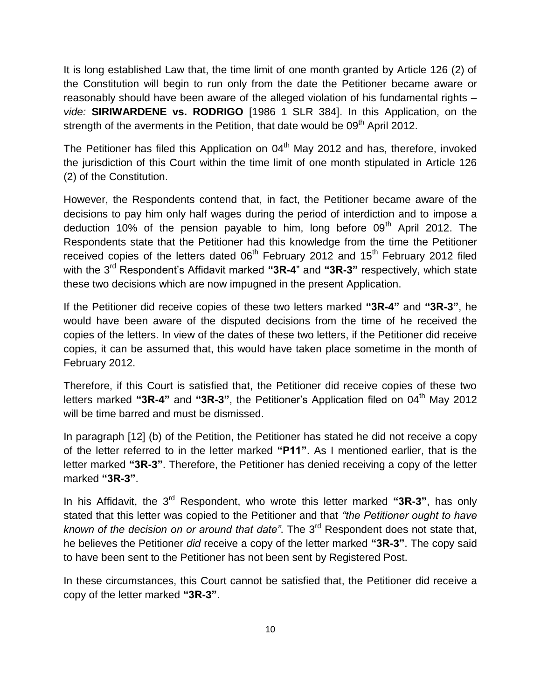It is long established Law that, the time limit of one month granted by Article 126 (2) of the Constitution will begin to run only from the date the Petitioner became aware or reasonably should have been aware of the alleged violation of his fundamental rights – *vide:* **SIRIWARDENE vs. RODRIGO** [1986 1 SLR 384]. In this Application, on the strength of the averments in the Petition, that date would be  $09<sup>th</sup>$  April 2012.

The Petitioner has filed this Application on 04<sup>th</sup> May 2012 and has, therefore, invoked the jurisdiction of this Court within the time limit of one month stipulated in Article 126 (2) of the Constitution.

However, the Respondents contend that, in fact, the Petitioner became aware of the decisions to pay him only half wages during the period of interdiction and to impose a deduction 10% of the pension payable to him, long before  $09<sup>th</sup>$  April 2012. The Respondents state that the Petitioner had this knowledge from the time the Petitioner received copies of the letters dated  $06<sup>th</sup>$  February 2012 and 15<sup>th</sup> February 2012 filed with the 3<sup>rd</sup> Respondent's Affidavit marked "3R-4" and "3R-3" respectively, which state these two decisions which are now impugned in the present Application.

If the Petitioner did receive copies of these two letters marked **"3R-4"** and **"3R-3"**, he would have been aware of the disputed decisions from the time of he received the copies of the letters. In view of the dates of these two letters, if the Petitioner did receive copies, it can be assumed that, this would have taken place sometime in the month of February 2012.

Therefore, if this Court is satisfied that, the Petitioner did receive copies of these two letters marked "3R-4" and "3R-3", the Petitioner's Application filed on 04<sup>th</sup> May 2012 will be time barred and must be dismissed.

In paragraph [12] (b) of the Petition, the Petitioner has stated he did not receive a copy of the letter referred to in the letter marked **"P11"**. As I mentioned earlier, that is the letter marked **"3R-3"**. Therefore, the Petitioner has denied receiving a copy of the letter marked **"3R-3"**.

In his Affidavit, the 3<sup>rd</sup> Respondent, who wrote this letter marked "3R-3", has only stated that this letter was copied to the Petitioner and that *"the Petitioner ought to have*  known of the decision on or around that date". The 3<sup>rd</sup> Respondent does not state that, he believes the Petitioner *did* receive a copy of the letter marked **"3R-3"**. The copy said to have been sent to the Petitioner has not been sent by Registered Post.

In these circumstances, this Court cannot be satisfied that, the Petitioner did receive a copy of the letter marked **"3R-3"**.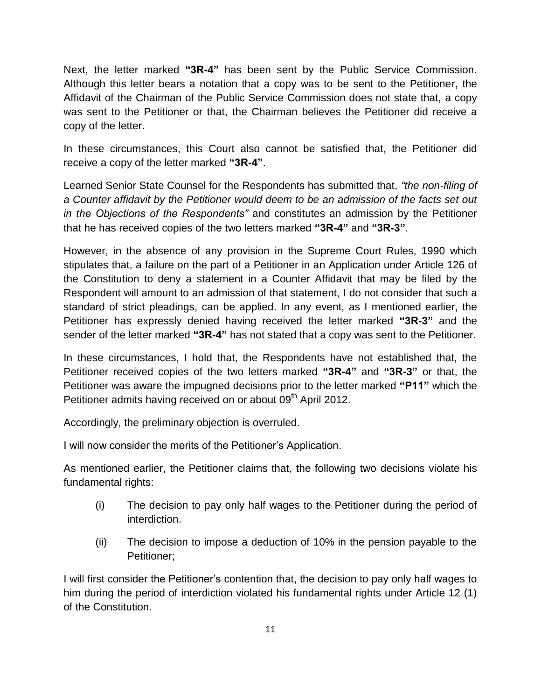Next, the letter marked **"3R-4"** has been sent by the Public Service Commission. Although this letter bears a notation that a copy was to be sent to the Petitioner, the Affidavit of the Chairman of the Public Service Commission does not state that, a copy was sent to the Petitioner or that, the Chairman believes the Petitioner did receive a copy of the letter.

In these circumstances, this Court also cannot be satisfied that, the Petitioner did receive a copy of the letter marked **"3R-4"**.

Learned Senior State Counsel for the Respondents has submitted that, *"the non-filing of a Counter affidavit by the Petitioner would deem to be an admission of the facts set out in the Objections of the Respondents"* and constitutes an admission by the Petitioner that he has received copies of the two letters marked **"3R-4"** and **"3R-3"**.

However, in the absence of any provision in the Supreme Court Rules, 1990 which stipulates that, a failure on the part of a Petitioner in an Application under Article 126 of the Constitution to deny a statement in a Counter Affidavit that may be filed by the Respondent will amount to an admission of that statement, I do not consider that such a standard of strict pleadings, can be applied. In any event, as I mentioned earlier, the Petitioner has expressly denied having received the letter marked **"3R-3"** and the sender of the letter marked **"3R-4"** has not stated that a copy was sent to the Petitioner.

In these circumstances, I hold that, the Respondents have not established that, the Petitioner received copies of the two letters marked **"3R-4"** and **"3R-3"** or that, the Petitioner was aware the impugned decisions prior to the letter marked **"P11"** which the Petitioner admits having received on or about 09<sup>th</sup> April 2012.

Accordingly, the preliminary objection is overruled.

I will now consider the merits of the Petitioner"s Application.

As mentioned earlier, the Petitioner claims that, the following two decisions violate his fundamental rights:

- (i) The decision to pay only half wages to the Petitioner during the period of interdiction.
- (ii) The decision to impose a deduction of 10% in the pension payable to the Petitioner;

I will first consider the Petitioner"s contention that, the decision to pay only half wages to him during the period of interdiction violated his fundamental rights under Article 12 (1) of the Constitution.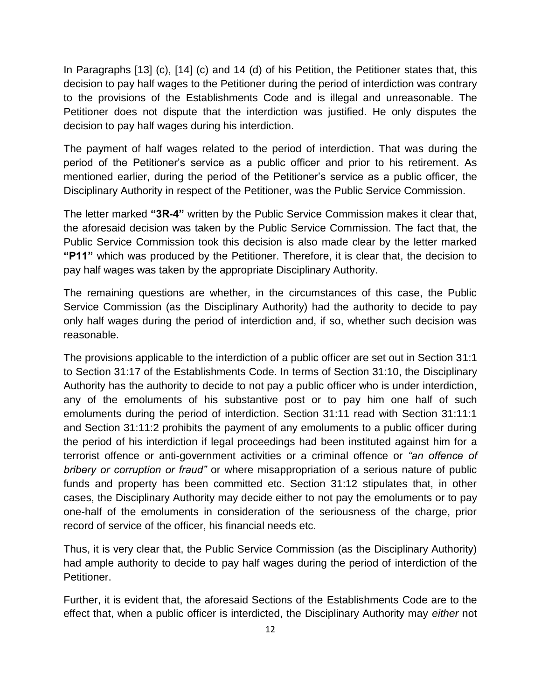In Paragraphs [13] (c), [14] (c) and 14 (d) of his Petition, the Petitioner states that, this decision to pay half wages to the Petitioner during the period of interdiction was contrary to the provisions of the Establishments Code and is illegal and unreasonable. The Petitioner does not dispute that the interdiction was justified. He only disputes the decision to pay half wages during his interdiction.

The payment of half wages related to the period of interdiction. That was during the period of the Petitioner"s service as a public officer and prior to his retirement. As mentioned earlier, during the period of the Petitioner"s service as a public officer, the Disciplinary Authority in respect of the Petitioner, was the Public Service Commission.

The letter marked **"3R-4"** written by the Public Service Commission makes it clear that, the aforesaid decision was taken by the Public Service Commission. The fact that, the Public Service Commission took this decision is also made clear by the letter marked **"P11"** which was produced by the Petitioner. Therefore, it is clear that, the decision to pay half wages was taken by the appropriate Disciplinary Authority.

The remaining questions are whether, in the circumstances of this case, the Public Service Commission (as the Disciplinary Authority) had the authority to decide to pay only half wages during the period of interdiction and, if so, whether such decision was reasonable.

The provisions applicable to the interdiction of a public officer are set out in Section 31:1 to Section 31:17 of the Establishments Code. In terms of Section 31:10, the Disciplinary Authority has the authority to decide to not pay a public officer who is under interdiction, any of the emoluments of his substantive post or to pay him one half of such emoluments during the period of interdiction. Section 31:11 read with Section 31:11:1 and Section 31:11:2 prohibits the payment of any emoluments to a public officer during the period of his interdiction if legal proceedings had been instituted against him for a terrorist offence or anti-government activities or a criminal offence or *"an offence of bribery or corruption or fraud"* or where misappropriation of a serious nature of public funds and property has been committed etc. Section 31:12 stipulates that, in other cases, the Disciplinary Authority may decide either to not pay the emoluments or to pay one-half of the emoluments in consideration of the seriousness of the charge, prior record of service of the officer, his financial needs etc.

Thus, it is very clear that, the Public Service Commission (as the Disciplinary Authority) had ample authority to decide to pay half wages during the period of interdiction of the Petitioner.

Further, it is evident that, the aforesaid Sections of the Establishments Code are to the effect that, when a public officer is interdicted, the Disciplinary Authority may *either* not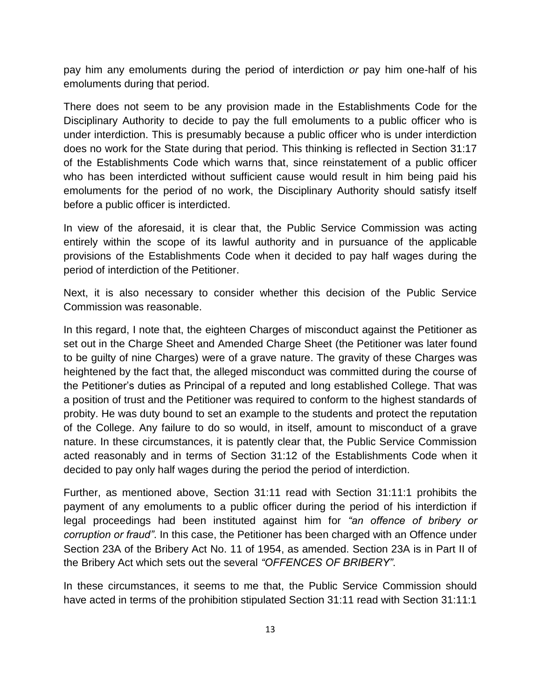pay him any emoluments during the period of interdiction *or* pay him one-half of his emoluments during that period.

There does not seem to be any provision made in the Establishments Code for the Disciplinary Authority to decide to pay the full emoluments to a public officer who is under interdiction. This is presumably because a public officer who is under interdiction does no work for the State during that period. This thinking is reflected in Section 31:17 of the Establishments Code which warns that, since reinstatement of a public officer who has been interdicted without sufficient cause would result in him being paid his emoluments for the period of no work, the Disciplinary Authority should satisfy itself before a public officer is interdicted.

In view of the aforesaid, it is clear that, the Public Service Commission was acting entirely within the scope of its lawful authority and in pursuance of the applicable provisions of the Establishments Code when it decided to pay half wages during the period of interdiction of the Petitioner.

Next, it is also necessary to consider whether this decision of the Public Service Commission was reasonable.

In this regard, I note that, the eighteen Charges of misconduct against the Petitioner as set out in the Charge Sheet and Amended Charge Sheet (the Petitioner was later found to be guilty of nine Charges) were of a grave nature. The gravity of these Charges was heightened by the fact that, the alleged misconduct was committed during the course of the Petitioner"s duties as Principal of a reputed and long established College. That was a position of trust and the Petitioner was required to conform to the highest standards of probity. He was duty bound to set an example to the students and protect the reputation of the College. Any failure to do so would, in itself, amount to misconduct of a grave nature. In these circumstances, it is patently clear that, the Public Service Commission acted reasonably and in terms of Section 31:12 of the Establishments Code when it decided to pay only half wages during the period the period of interdiction.

Further, as mentioned above, Section 31:11 read with Section 31:11:1 prohibits the payment of any emoluments to a public officer during the period of his interdiction if legal proceedings had been instituted against him for *"an offence of bribery or corruption or fraud"*. In this case, the Petitioner has been charged with an Offence under Section 23A of the Bribery Act No. 11 of 1954, as amended. Section 23A is in Part II of the Bribery Act which sets out the several *"OFFENCES OF BRIBERY"*.

In these circumstances, it seems to me that, the Public Service Commission should have acted in terms of the prohibition stipulated Section 31:11 read with Section 31:11:1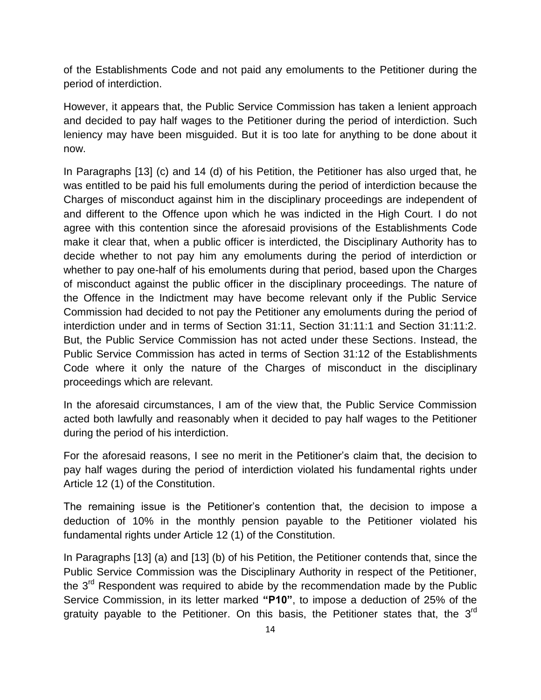of the Establishments Code and not paid any emoluments to the Petitioner during the period of interdiction.

However, it appears that, the Public Service Commission has taken a lenient approach and decided to pay half wages to the Petitioner during the period of interdiction. Such leniency may have been misguided. But it is too late for anything to be done about it now.

In Paragraphs [13] (c) and 14 (d) of his Petition, the Petitioner has also urged that, he was entitled to be paid his full emoluments during the period of interdiction because the Charges of misconduct against him in the disciplinary proceedings are independent of and different to the Offence upon which he was indicted in the High Court. I do not agree with this contention since the aforesaid provisions of the Establishments Code make it clear that, when a public officer is interdicted, the Disciplinary Authority has to decide whether to not pay him any emoluments during the period of interdiction or whether to pay one-half of his emoluments during that period, based upon the Charges of misconduct against the public officer in the disciplinary proceedings. The nature of the Offence in the Indictment may have become relevant only if the Public Service Commission had decided to not pay the Petitioner any emoluments during the period of interdiction under and in terms of Section 31:11, Section 31:11:1 and Section 31:11:2. But, the Public Service Commission has not acted under these Sections. Instead, the Public Service Commission has acted in terms of Section 31:12 of the Establishments Code where it only the nature of the Charges of misconduct in the disciplinary proceedings which are relevant.

In the aforesaid circumstances, I am of the view that, the Public Service Commission acted both lawfully and reasonably when it decided to pay half wages to the Petitioner during the period of his interdiction.

For the aforesaid reasons, I see no merit in the Petitioner"s claim that, the decision to pay half wages during the period of interdiction violated his fundamental rights under Article 12 (1) of the Constitution.

The remaining issue is the Petitioner"s contention that, the decision to impose a deduction of 10% in the monthly pension payable to the Petitioner violated his fundamental rights under Article 12 (1) of the Constitution.

In Paragraphs [13] (a) and [13] (b) of his Petition, the Petitioner contends that, since the Public Service Commission was the Disciplinary Authority in respect of the Petitioner, the 3<sup>rd</sup> Respondent was required to abide by the recommendation made by the Public Service Commission, in its letter marked **"P10"**, to impose a deduction of 25% of the gratuity payable to the Petitioner. On this basis, the Petitioner states that, the  $3^{\text{rd}}$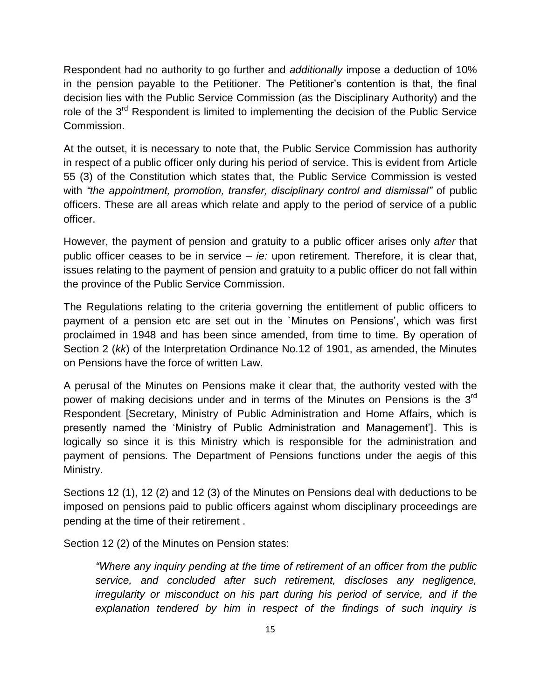Respondent had no authority to go further and *additionally* impose a deduction of 10% in the pension payable to the Petitioner. The Petitioner"s contention is that, the final decision lies with the Public Service Commission (as the Disciplinary Authority) and the role of the 3<sup>rd</sup> Respondent is limited to implementing the decision of the Public Service Commission.

At the outset, it is necessary to note that, the Public Service Commission has authority in respect of a public officer only during his period of service. This is evident from Article 55 (3) of the Constitution which states that, the Public Service Commission is vested with *"the appointment, promotion, transfer, disciplinary control and dismissal"* of public officers. These are all areas which relate and apply to the period of service of a public officer.

However, the payment of pension and gratuity to a public officer arises only *after* that public officer ceases to be in service – *ie:* upon retirement. Therefore, it is clear that, issues relating to the payment of pension and gratuity to a public officer do not fall within the province of the Public Service Commission.

The Regulations relating to the criteria governing the entitlement of public officers to payment of a pension etc are set out in the `Minutes on Pensions', which was first proclaimed in 1948 and has been since amended, from time to time. By operation of Section 2 (*kk*) of the Interpretation Ordinance No.12 of 1901, as amended, the Minutes on Pensions have the force of written Law.

A perusal of the Minutes on Pensions make it clear that, the authority vested with the power of making decisions under and in terms of the Minutes on Pensions is the  $3^{\text{rd}}$ Respondent [Secretary, Ministry of Public Administration and Home Affairs, which is presently named the "Ministry of Public Administration and Management"]. This is logically so since it is this Ministry which is responsible for the administration and payment of pensions. The Department of Pensions functions under the aegis of this Ministry.

Sections 12 (1), 12 (2) and 12 (3) of the Minutes on Pensions deal with deductions to be imposed on pensions paid to public officers against whom disciplinary proceedings are pending at the time of their retirement .

Section 12 (2) of the Minutes on Pension states:

*"Where any inquiry pending at the time of retirement of an officer from the public service, and concluded after such retirement, discloses any negligence, irregularity or misconduct on his part during his period of service, and if the explanation tendered by him in respect of the findings of such inquiry is*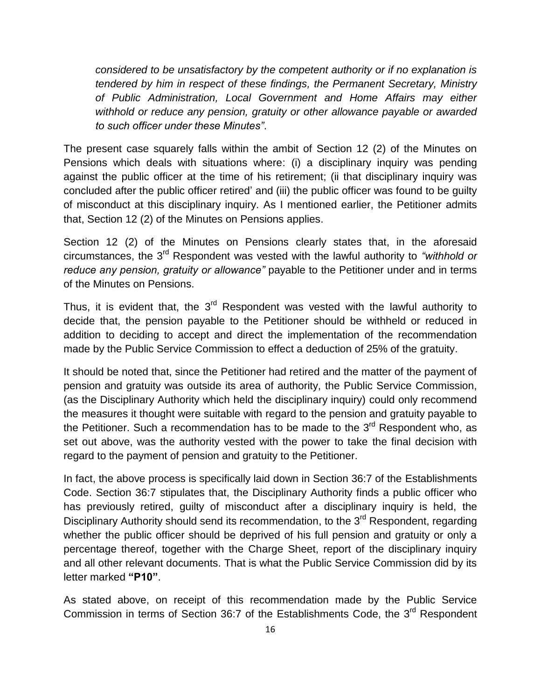*considered to be unsatisfactory by the competent authority or if no explanation is tendered by him in respect of these findings, the Permanent Secretary, Ministry of Public Administration, Local Government and Home Affairs may either withhold or reduce any pension, gratuity or other allowance payable or awarded to such officer under these Minutes"*.

The present case squarely falls within the ambit of Section 12 (2) of the Minutes on Pensions which deals with situations where: (i) a disciplinary inquiry was pending against the public officer at the time of his retirement; (ii that disciplinary inquiry was concluded after the public officer retired" and (iii) the public officer was found to be guilty of misconduct at this disciplinary inquiry. As I mentioned earlier, the Petitioner admits that, Section 12 (2) of the Minutes on Pensions applies.

Section 12 (2) of the Minutes on Pensions clearly states that, in the aforesaid circumstances, the 3<sup>rd</sup> Respondent was vested with the lawful authority to *"withhold or reduce any pension, gratuity or allowance"* payable to the Petitioner under and in terms of the Minutes on Pensions.

Thus, it is evident that, the  $3<sup>rd</sup>$  Respondent was vested with the lawful authority to decide that, the pension payable to the Petitioner should be withheld or reduced in addition to deciding to accept and direct the implementation of the recommendation made by the Public Service Commission to effect a deduction of 25% of the gratuity.

It should be noted that, since the Petitioner had retired and the matter of the payment of pension and gratuity was outside its area of authority, the Public Service Commission, (as the Disciplinary Authority which held the disciplinary inquiry) could only recommend the measures it thought were suitable with regard to the pension and gratuity payable to the Petitioner. Such a recommendation has to be made to the 3<sup>rd</sup> Respondent who, as set out above, was the authority vested with the power to take the final decision with regard to the payment of pension and gratuity to the Petitioner.

In fact, the above process is specifically laid down in Section 36:7 of the Establishments Code. Section 36:7 stipulates that, the Disciplinary Authority finds a public officer who has previously retired, guilty of misconduct after a disciplinary inquiry is held, the Disciplinary Authority should send its recommendation, to the 3<sup>rd</sup> Respondent, regarding whether the public officer should be deprived of his full pension and gratuity or only a percentage thereof, together with the Charge Sheet, report of the disciplinary inquiry and all other relevant documents. That is what the Public Service Commission did by its letter marked **"P10"**.

As stated above, on receipt of this recommendation made by the Public Service Commission in terms of Section 36:7 of the Establishments Code, the 3<sup>rd</sup> Respondent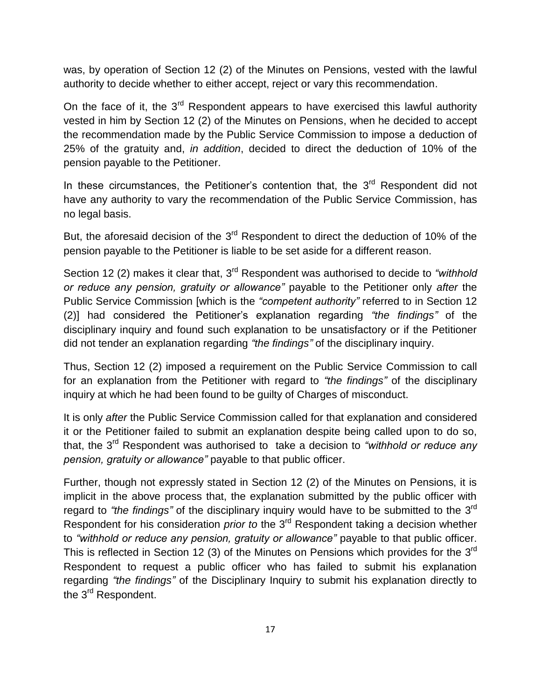was, by operation of Section 12 (2) of the Minutes on Pensions, vested with the lawful authority to decide whether to either accept, reject or vary this recommendation.

On the face of it, the  $3<sup>rd</sup>$  Respondent appears to have exercised this lawful authority vested in him by Section 12 (2) of the Minutes on Pensions, when he decided to accept the recommendation made by the Public Service Commission to impose a deduction of 25% of the gratuity and, *in addition*, decided to direct the deduction of 10% of the pension payable to the Petitioner.

In these circumstances, the Petitioner's contention that, the 3<sup>rd</sup> Respondent did not have any authority to vary the recommendation of the Public Service Commission, has no legal basis.

But, the aforesaid decision of the  $3<sup>rd</sup>$  Respondent to direct the deduction of 10% of the pension payable to the Petitioner is liable to be set aside for a different reason.

Section 12 (2) makes it clear that, 3<sup>rd</sup> Respondent was authorised to decide to "withhold *or reduce any pension, gratuity or allowance"* payable to the Petitioner only *after* the Public Service Commission [which is the *"competent authority"* referred to in Section 12 (2)] had considered the Petitioner"s explanation regarding *"the findings"* of the disciplinary inquiry and found such explanation to be unsatisfactory or if the Petitioner did not tender an explanation regarding *"the findings"* of the disciplinary inquiry.

Thus, Section 12 (2) imposed a requirement on the Public Service Commission to call for an explanation from the Petitioner with regard to *"the findings"* of the disciplinary inquiry at which he had been found to be guilty of Charges of misconduct.

It is only *after* the Public Service Commission called for that explanation and considered it or the Petitioner failed to submit an explanation despite being called upon to do so, that, the 3<sup>rd</sup> Respondent was authorised to take a decision to *"withhold or reduce any pension, gratuity or allowance"* payable to that public officer.

Further, though not expressly stated in Section 12 (2) of the Minutes on Pensions, it is implicit in the above process that, the explanation submitted by the public officer with regard to "the findings" of the disciplinary inquiry would have to be submitted to the 3<sup>rd</sup> Respondent for his consideration *prior to* the 3rd Respondent taking a decision whether to *"withhold or reduce any pension, gratuity or allowance"* payable to that public officer. This is reflected in Section 12 (3) of the Minutes on Pensions which provides for the 3<sup>rd</sup> Respondent to request a public officer who has failed to submit his explanation regarding *"the findings"* of the Disciplinary Inquiry to submit his explanation directly to the 3<sup>rd</sup> Respondent.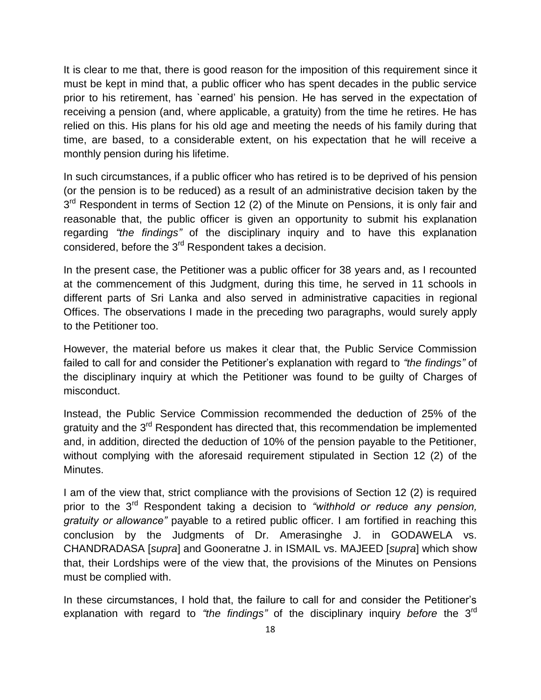It is clear to me that, there is good reason for the imposition of this requirement since it must be kept in mind that, a public officer who has spent decades in the public service prior to his retirement, has `earned" his pension. He has served in the expectation of receiving a pension (and, where applicable, a gratuity) from the time he retires. He has relied on this. His plans for his old age and meeting the needs of his family during that time, are based, to a considerable extent, on his expectation that he will receive a monthly pension during his lifetime.

In such circumstances, if a public officer who has retired is to be deprived of his pension (or the pension is to be reduced) as a result of an administrative decision taken by the 3<sup>rd</sup> Respondent in terms of Section 12 (2) of the Minute on Pensions, it is only fair and reasonable that, the public officer is given an opportunity to submit his explanation regarding *"the findings"* of the disciplinary inquiry and to have this explanation considered, before the 3<sup>rd</sup> Respondent takes a decision.

In the present case, the Petitioner was a public officer for 38 years and, as I recounted at the commencement of this Judgment, during this time, he served in 11 schools in different parts of Sri Lanka and also served in administrative capacities in regional Offices. The observations I made in the preceding two paragraphs, would surely apply to the Petitioner too.

However, the material before us makes it clear that, the Public Service Commission failed to call for and consider the Petitioner"s explanation with regard to *"the findings"* of the disciplinary inquiry at which the Petitioner was found to be guilty of Charges of misconduct.

Instead, the Public Service Commission recommended the deduction of 25% of the gratuity and the 3<sup>rd</sup> Respondent has directed that, this recommendation be implemented and, in addition, directed the deduction of 10% of the pension payable to the Petitioner, without complying with the aforesaid requirement stipulated in Section 12 (2) of the Minutes.

I am of the view that, strict compliance with the provisions of Section 12 (2) is required prior to the 3rd Respondent taking a decision to *"withhold or reduce any pension, gratuity or allowance"* payable to a retired public officer. I am fortified in reaching this conclusion by the Judgments of Dr. Amerasinghe J. in GODAWELA vs. CHANDRADASA [*supra*] and Gooneratne J. in ISMAIL vs. MAJEED [*supra*] which show that, their Lordships were of the view that, the provisions of the Minutes on Pensions must be complied with.

In these circumstances, I hold that, the failure to call for and consider the Petitioner's explanation with regard to *"the findings"* of the disciplinary inquiry *before* the 3rd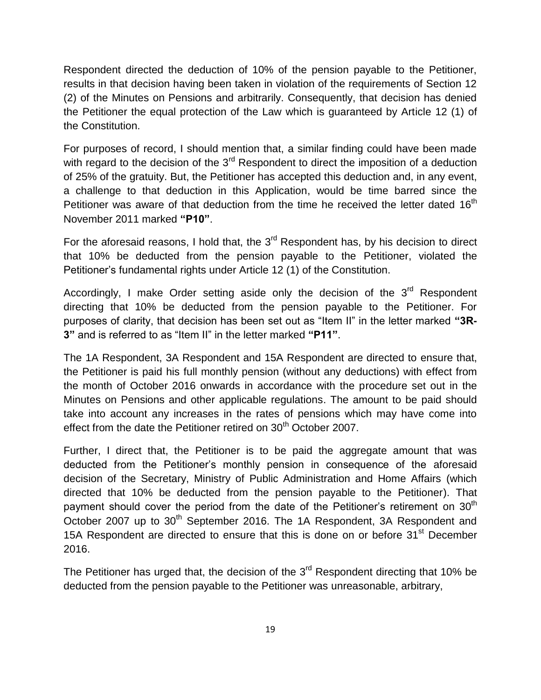Respondent directed the deduction of 10% of the pension payable to the Petitioner, results in that decision having been taken in violation of the requirements of Section 12 (2) of the Minutes on Pensions and arbitrarily. Consequently, that decision has denied the Petitioner the equal protection of the Law which is guaranteed by Article 12 (1) of the Constitution.

For purposes of record, I should mention that, a similar finding could have been made with regard to the decision of the  $3<sup>rd</sup>$  Respondent to direct the imposition of a deduction of 25% of the gratuity. But, the Petitioner has accepted this deduction and, in any event, a challenge to that deduction in this Application, would be time barred since the Petitioner was aware of that deduction from the time he received the letter dated 16<sup>th</sup> November 2011 marked **"P10"**.

For the aforesaid reasons, I hold that, the  $3<sup>rd</sup>$  Respondent has, by his decision to direct that 10% be deducted from the pension payable to the Petitioner, violated the Petitioner"s fundamental rights under Article 12 (1) of the Constitution.

Accordingly, I make Order setting aside only the decision of the 3<sup>rd</sup> Respondent directing that 10% be deducted from the pension payable to the Petitioner. For purposes of clarity, that decision has been set out as "Item II" in the letter marked **"3R-3"** and is referred to as "Item II" in the letter marked **"P11"**.

The 1A Respondent, 3A Respondent and 15A Respondent are directed to ensure that, the Petitioner is paid his full monthly pension (without any deductions) with effect from the month of October 2016 onwards in accordance with the procedure set out in the Minutes on Pensions and other applicable regulations. The amount to be paid should take into account any increases in the rates of pensions which may have come into effect from the date the Petitioner retired on 30<sup>th</sup> October 2007.

Further, I direct that, the Petitioner is to be paid the aggregate amount that was deducted from the Petitioner"s monthly pension in consequence of the aforesaid decision of the Secretary, Ministry of Public Administration and Home Affairs (which directed that 10% be deducted from the pension payable to the Petitioner). That payment should cover the period from the date of the Petitioner's retirement on  $30<sup>th</sup>$ October 2007 up to 30<sup>th</sup> September 2016. The 1A Respondent, 3A Respondent and 15A Respondent are directed to ensure that this is done on or before 31<sup>st</sup> December 2016.

The Petitioner has urged that, the decision of the  $3<sup>rd</sup>$  Respondent directing that 10% be deducted from the pension payable to the Petitioner was unreasonable, arbitrary,